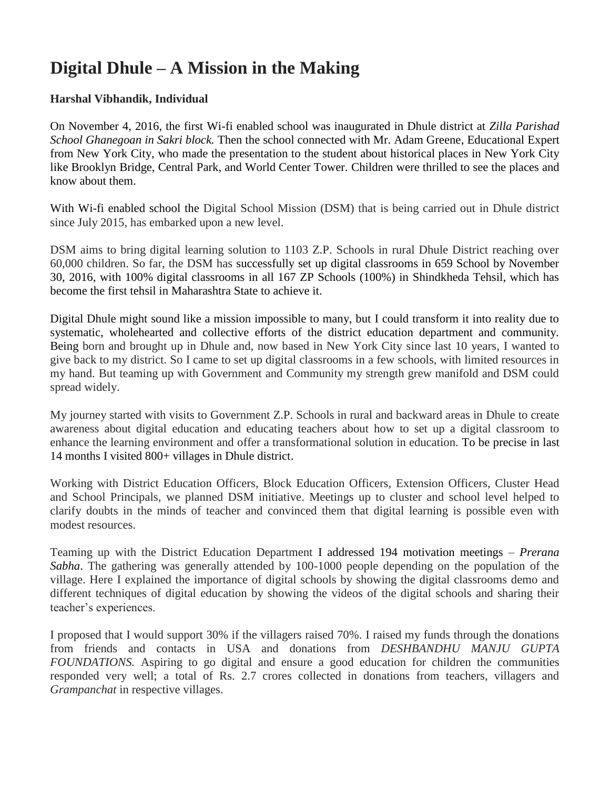# **Digital Dhule – A Mission in the Making**

#### **Harshal Vibhandik, Individual**

On November 4, 2016, the first Wi-fi enabled school was inaugurated in Dhule district at *Zilla Parishad School Ghanegoan in Sakri block.* Then the school connected with Mr. Adam Greene, Educational Expert from New York City, who made the presentation to the student about historical places in New York City like Brooklyn Bridge, Central Park, and World Center Tower. Children were thrilled to see the places and know about them.

With Wi-fi enabled school the Digital School Mission (DSM) that is being carried out in Dhule district since July 2015, has embarked upon a new level.

DSM aims to bring digital learning solution to 1103 Z.P. Schools in rural Dhule District reaching over 60,000 children. So far, the DSM has successfully set up digital classrooms in 659 School by November 30, 2016, with 100% digital classrooms in all 167 ZP Schools (100%) in Shindkheda Tehsil, which has become the first tehsil in Maharashtra State to achieve it.

Digital Dhule might sound like a mission impossible to many, but I could transform it into reality due to systematic, wholehearted and collective efforts of the district education department and community. Being born and brought up in Dhule and, now based in New York City since last 10 years, I wanted to give back to my district. So I came to set up digital classrooms in a few schools, with limited resources in my hand. But teaming up with Government and Community my strength grew manifold and DSM could spread widely.

My journey started with visits to Government Z.P. Schools in rural and backward areas in Dhule to create awareness about digital education and educating teachers about how to set up a digital classroom to enhance the learning environment and offer a transformational solution in education. To be precise in last 14 months I visited 800+ villages in Dhule district.

Working with District Education Officers, Block Education Officers, Extension Officers, Cluster Head and School Principals, we planned DSM initiative. Meetings up to cluster and school level helped to clarify doubts in the minds of teacher and convinced them that digital learning is possible even with modest resources.

Teaming up with the District Education Department I addressed 194 motivation meetings – *Prerana Sabha*. The gathering was generally attended by 100-1000 people depending on the population of the village. Here I explained the importance of digital schools by showing the digital classrooms demo and different techniques of digital education by showing the videos of the digital schools and sharing their teacher's experiences.

I proposed that I would support 30% if the villagers raised 70%. I raised my funds through the donations from friends and contacts in USA and donations from *DESHBANDHU MANJU GUPTA FOUNDATIONS.* Aspiring to go digital and ensure a good education for children the communities responded very well; a total of Rs. 2.7 crores collected in donations from teachers, villagers and *Grampanchat* in respective villages.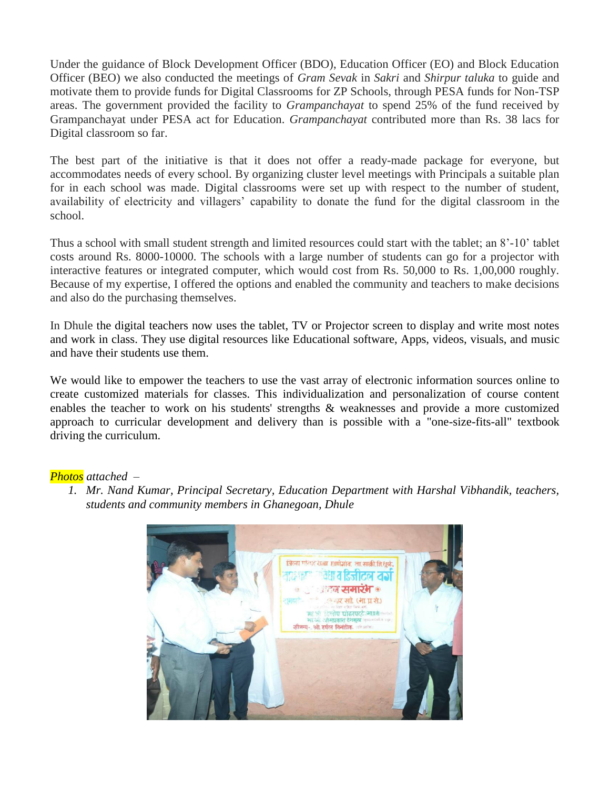Under the guidance of Block Development Officer (BDO), Education Officer (EO) and Block Education Officer (BEO) we also conducted the meetings of *Gram Sevak* in *Sakri* and *Shirpur taluka* to guide and motivate them to provide funds for Digital Classrooms for ZP Schools, through PESA funds for Non-TSP areas. The government provided the facility to *Grampanchayat* to spend 25% of the fund received by Grampanchayat under PESA act for Education. *Grampanchayat* contributed more than Rs. 38 lacs for Digital classroom so far.

The best part of the initiative is that it does not offer a ready-made package for everyone, but accommodates needs of every school. By organizing cluster level meetings with Principals a suitable plan for in each school was made. Digital classrooms were set up with respect to the number of student, availability of electricity and villagers' capability to donate the fund for the digital classroom in the school.

Thus a school with small student strength and limited resources could start with the tablet; an 8'-10' tablet costs around Rs. 8000-10000. The schools with a large number of students can go for a projector with interactive features or integrated computer, which would cost from Rs. 50,000 to Rs. 1,00,000 roughly. Because of my expertise, I offered the options and enabled the community and teachers to make decisions and also do the purchasing themselves.

In Dhule the digital teachers now uses the tablet, TV or Projector screen to display and write most notes and work in class. They use digital resources like Educational software, Apps, videos, visuals, and music and have their students use them.

We would like to empower the teachers to use the vast array of electronic information sources online to create customized materials for classes. This individualization and personalization of course content enables the teacher to work on his students' strengths & weaknesses and provide a more customized approach to curricular development and delivery than is possible with a "one-size-fits-all" textbook driving the curriculum.

#### *Photos attached –*

*1. Mr. Nand Kumar, Principal Secretary, Education Department with Harshal Vibhandik, teachers, students and community members in Ghanegoan, Dhule*